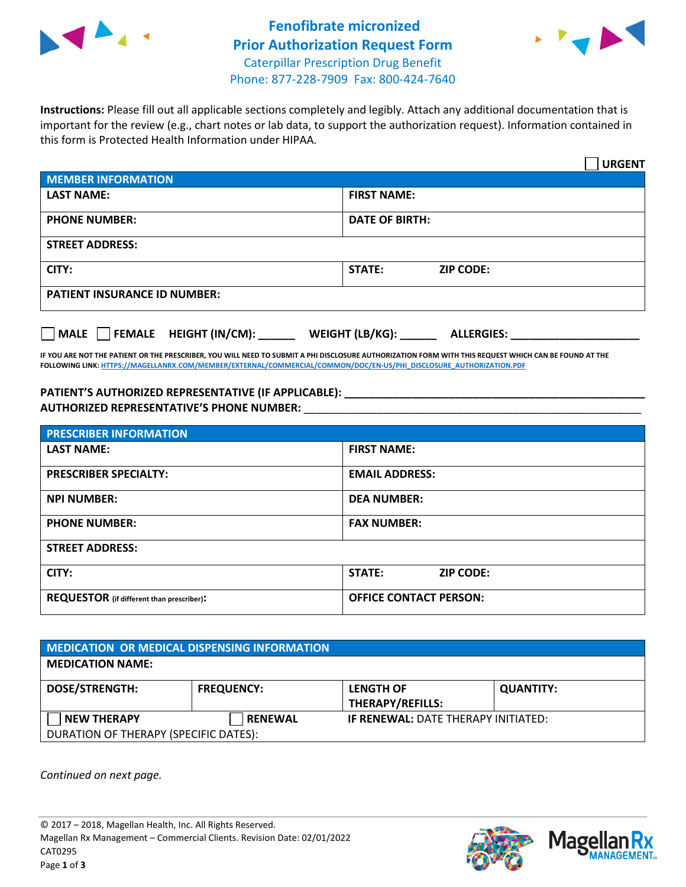



**Instructions:** Please fill out all applicable sections completely and legibly. Attach any additional documentation that is important for the review (e.g., chart notes or lab data, to support the authorization request). Information contained in this form is Protected Health Information under HIPAA.

|                                       | <b>URGENT</b>                        |  |  |
|---------------------------------------|--------------------------------------|--|--|
| <b>MEMBER INFORMATION</b>             |                                      |  |  |
| <b>LAST NAME:</b>                     | <b>FIRST NAME:</b>                   |  |  |
| <b>PHONE NUMBER:</b>                  | <b>DATE OF BIRTH:</b>                |  |  |
| <b>STREET ADDRESS:</b>                |                                      |  |  |
| CITY:                                 | <b>STATE:</b><br><b>ZIP CODE:</b>    |  |  |
| <b>PATIENT INSURANCE ID NUMBER:</b>   |                                      |  |  |
| FEMALE HEIGHT (IN/CM):<br><b>MALE</b> | WEIGHT (LB/KG):<br><b>ALLERGIES:</b> |  |  |

**IF YOU ARE NOT THE PATIENT OR THE PRESCRIBER, YOU WILL NEED TO SUBMIT A PHI DISCLOSURE AUTHORIZATION FORM WITH THIS REQUEST WHICH CAN BE FOUND AT THE FOLLOWING LINK[: HTTPS://MAGELLANRX.COM/MEMBER/EXTERNAL/COMMERCIAL/COMMON/DOC/EN-US/PHI\\_DISCLOSURE\\_AUTHORIZATION.PDF](https://magellanrx.com/member/external/commercial/common/doc/en-us/PHI_Disclosure_Authorization.pdf)**

**PATIENT'S AUTHORIZED REPRESENTATIVE (IF APPLICABLE): \_\_\_\_\_\_\_\_\_\_\_\_\_\_\_\_\_\_\_\_\_\_\_\_\_\_\_\_\_\_\_\_\_\_\_\_\_\_\_\_\_\_\_\_\_\_\_\_\_ AUTHORIZED REPRESENTATIVE'S PHONE NUMBER:** \_\_\_\_\_\_\_\_\_\_\_\_\_\_\_\_\_\_\_\_\_\_\_\_\_\_\_\_\_\_\_\_\_\_\_\_\_\_\_\_\_\_\_\_\_\_\_\_\_\_\_\_\_\_\_

| <b>PRESCRIBER INFORMATION</b>             |                               |  |  |  |
|-------------------------------------------|-------------------------------|--|--|--|
| <b>LAST NAME:</b>                         | <b>FIRST NAME:</b>            |  |  |  |
| <b>PRESCRIBER SPECIALTY:</b>              | <b>EMAIL ADDRESS:</b>         |  |  |  |
| <b>NPI NUMBER:</b>                        | <b>DEA NUMBER:</b>            |  |  |  |
| <b>PHONE NUMBER:</b>                      | <b>FAX NUMBER:</b>            |  |  |  |
| <b>STREET ADDRESS:</b>                    |                               |  |  |  |
| CITY:                                     | STATE:<br><b>ZIP CODE:</b>    |  |  |  |
| REQUESTOR (if different than prescriber): | <b>OFFICE CONTACT PERSON:</b> |  |  |  |

| <b>MEDICATION OR MEDICAL DISPENSING INFORMATION</b> |                   |                                            |                  |  |  |
|-----------------------------------------------------|-------------------|--------------------------------------------|------------------|--|--|
| <b>MEDICATION NAME:</b>                             |                   |                                            |                  |  |  |
| <b>DOSE/STRENGTH:</b>                               | <b>FREQUENCY:</b> | <b>LENGTH OF</b><br>THERAPY/REFILLS:       | <b>QUANTITY:</b> |  |  |
| <b>NEW THERAPY</b>                                  | <b>RENEWAL</b>    | <b>IF RENEWAL: DATE THERAPY INITIATED:</b> |                  |  |  |
| DURATION OF THERAPY (SPECIFIC DATES):               |                   |                                            |                  |  |  |

*Continued on next page.*



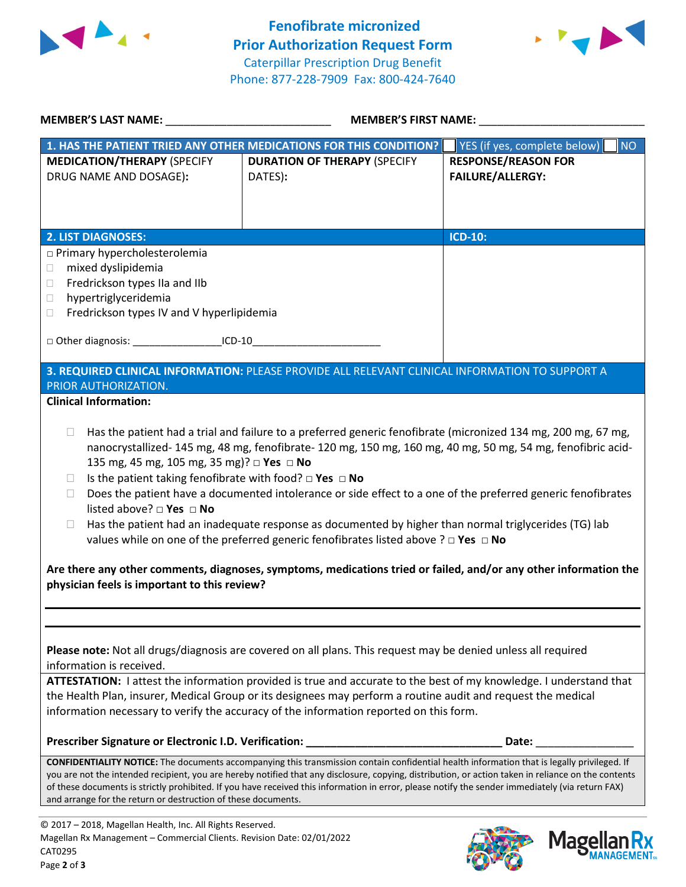



| MEMBER'S LAST NAME: NAME:                                                                                                                                                                                                                 | <b>MEMBER'S FIRST NAME:</b>                                                                                                                                                                                                                                                                                                                                                                                                                                                                                                                               |                                                       |  |  |
|-------------------------------------------------------------------------------------------------------------------------------------------------------------------------------------------------------------------------------------------|-----------------------------------------------------------------------------------------------------------------------------------------------------------------------------------------------------------------------------------------------------------------------------------------------------------------------------------------------------------------------------------------------------------------------------------------------------------------------------------------------------------------------------------------------------------|-------------------------------------------------------|--|--|
|                                                                                                                                                                                                                                           | 1. HAS THE PATIENT TRIED ANY OTHER MEDICATIONS FOR THIS CONDITION?                                                                                                                                                                                                                                                                                                                                                                                                                                                                                        | YES (if yes, complete below)<br><b>NO</b>             |  |  |
| <b>MEDICATION/THERAPY (SPECIFY</b><br>DRUG NAME AND DOSAGE):                                                                                                                                                                              | <b>DURATION OF THERAPY (SPECIFY</b><br>DATES):                                                                                                                                                                                                                                                                                                                                                                                                                                                                                                            | <b>RESPONSE/REASON FOR</b><br><b>FAILURE/ALLERGY:</b> |  |  |
| <b>2. LIST DIAGNOSES:</b>                                                                                                                                                                                                                 |                                                                                                                                                                                                                                                                                                                                                                                                                                                                                                                                                           | <b>ICD-10:</b>                                        |  |  |
| □ Primary hypercholesterolemia<br>mixed dyslipidemia<br>$\Box$<br>Fredrickson types IIa and IIb<br>0<br>hypertriglyceridemia<br>$\Box$<br>Fredrickson types IV and V hyperlipidemia<br>$\Box$                                             |                                                                                                                                                                                                                                                                                                                                                                                                                                                                                                                                                           |                                                       |  |  |
| □ Other diagnosis: ____________________ICD-10__________________________________                                                                                                                                                           |                                                                                                                                                                                                                                                                                                                                                                                                                                                                                                                                                           |                                                       |  |  |
| 3. REQUIRED CLINICAL INFORMATION: PLEASE PROVIDE ALL RELEVANT CLINICAL INFORMATION TO SUPPORT A<br>PRIOR AUTHORIZATION.                                                                                                                   |                                                                                                                                                                                                                                                                                                                                                                                                                                                                                                                                                           |                                                       |  |  |
| <b>Clinical Information:</b>                                                                                                                                                                                                              |                                                                                                                                                                                                                                                                                                                                                                                                                                                                                                                                                           |                                                       |  |  |
| 135 mg, 45 mg, 105 mg, 35 mg)? □ Yes □ No<br>Is the patient taking fenofibrate with food? $\square$ Yes $\square$ No<br>$\Box$<br>П<br>listed above? $\square$ Yes $\square$ No<br>$\Box$<br>physician feels is important to this review? | nanocrystallized- 145 mg, 48 mg, fenofibrate- 120 mg, 150 mg, 160 mg, 40 mg, 50 mg, 54 mg, fenofibric acid-<br>Does the patient have a documented intolerance or side effect to a one of the preferred generic fenofibrates<br>Has the patient had an inadequate response as documented by higher than normal triglycerides (TG) lab<br>values while on one of the preferred generic fenofibrates listed above ? $\Box$ Yes $\Box$ No<br>Are there any other comments, diagnoses, symptoms, medications tried or failed, and/or any other information the |                                                       |  |  |
| information is received.                                                                                                                                                                                                                  | Please note: Not all drugs/diagnosis are covered on all plans. This request may be denied unless all required<br>ATTESTATION: I attest the information provided is true and accurate to the best of my knowledge. I understand that<br>the Health Plan, insurer, Medical Group or its designees may perform a routine audit and request the medical<br>information necessary to verify the accuracy of the information reported on this form.                                                                                                             |                                                       |  |  |
| Prescriber Signature or Electronic I.D. Verification:                                                                                                                                                                                     |                                                                                                                                                                                                                                                                                                                                                                                                                                                                                                                                                           | Date:                                                 |  |  |
| and arrange for the return or destruction of these documents.                                                                                                                                                                             | CONFIDENTIALITY NOTICE: The documents accompanying this transmission contain confidential health information that is legally privileged. If<br>you are not the intended recipient, you are hereby notified that any disclosure, copying, distribution, or action taken in reliance on the contents<br>of these documents is strictly prohibited. If you have received this information in error, please notify the sender immediately (via return FAX)                                                                                                    |                                                       |  |  |
| © 2017 - 2018, Magellan Health, Inc. All Rights Reserved.<br>Magellan Rx Management - Commercial Clients. Revision Date: 02/01/2022<br>CAT0295                                                                                            |                                                                                                                                                                                                                                                                                                                                                                                                                                                                                                                                                           | <b>Mage</b>                                           |  |  |



**MANAGEMENT**<sub>SM</sub>